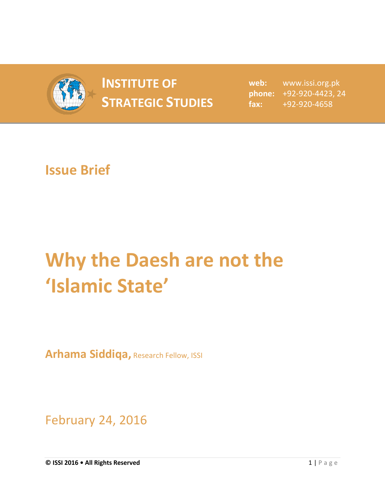

## **INSTITUTE OF STRATEGIC STUDIES**  $\begin{bmatrix} \text{mean} \\ \text{fax:} \end{bmatrix}$

**web:** www.issi.org.pk **phone:** +92-920-4423, 24 **fax:** +92-920-4658

## **Issue Brief**

## **Why the Daesh are not the 'Islamic State'**

**Arhama Siddiqa,** Research Fellow, ISSI

February 24, 2016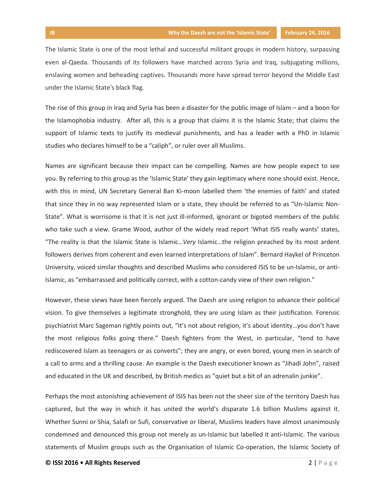The Islamic State is one of the most lethal and successful militant groups in modern history, surpassing even al-Qaeda. Thousands of its followers have marched across Syria and Iraq, subjugating millions, enslaving women and beheading captives. Thousands more have spread terror beyond the Middle East under the Islamic State's black flag.

The rise of this group in Iraq and Syria has been a disaster for the public image of Islam – and a boon for the Islamophobia industry. After all, this is a group that claims it is the Islamic State; that claims the support of Islamic texts to justify its medieval punishments, and has a leader with a PhD in Islamic studies who declares himself to be a "caliph", or ruler over all Muslims.

Names are significant because their impact can be compelling. Names are how people expect to see you. By referring to this group as the 'Islamic State' they gain legitimacy where none should exist. Hence, with this in mind, UN Secretary General Ban Ki-moon labelled them 'the enemies of faith' and stated that since they in no way represented Islam or a state, they should be referred to as "Un-Islamic Non-State". What is worrisome is that it is not just ill-informed, ignorant or bigoted members of the public who take such a view. Grame Wood, author of the widely read report 'What ISIS really wants' states, "The reality is that the Islamic State is Islamic…*Very* Islamic…the religion preached by its most ardent followers derives from coherent and even learned interpretations of Islam". Bernard Haykel of Princeton University, voiced similar thoughts and described Muslims who considered ISIS to be un-Islamic, or anti-Islamic, as "embarrassed and politically correct, with a cotton-candy view of their own religion."

However, these views have been fiercely argued. The Daesh are using religion to advance their political vision. To give themselves a legitimate stronghold, they are using Islam as their justification. Forensic psychiatrist Marc Sageman rightly points out, "It's not about religion, it's about identity…you don't have the most religious folks going there." Daesh fighters from the West, in particular, "tend to have rediscovered Islam as teenagers or as converts"; they are angry, or even bored, young men in search of a call to arms and a thrilling cause. An example is the Daesh executioner known as "Jihadi John", raised and educated in the UK and described, by British medics as "quiet but a bit of an adrenalin junkie".

Perhaps the most astonishing achievement of ISIS has been not the sheer size of the territory Daesh has captured, but the way in which it has united the world's disparate 1.6 billion Muslims against it. Whether Sunni or Shia, Salafi or Sufi, conservative or liberal, Muslims leaders have almost unanimously condemned and denounced this group not merely as un-Islamic but labelled it anti-Islamic. The various statements of Muslim groups such as the Organisation of Islamic Co-operation, the Islamic Society of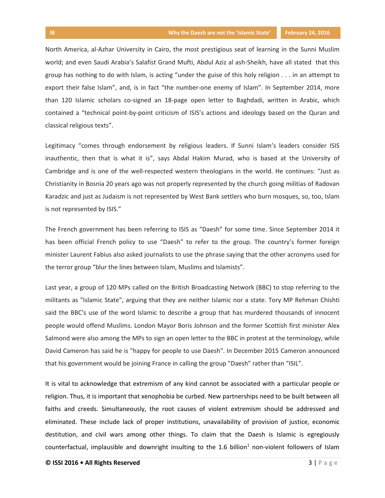North America, al-Azhar University in Cairo, the most prestigious seat of learning in the Sunni Muslim world; and even Saudi Arabia's Salafist Grand Mufti, Abdul Aziz al ash-Sheikh, have all stated that this group has nothing to do with Islam, is acting "under the guise of this holy religion . . . in an attempt to export their false Islam", and, is in fact "the number-one enemy of Islam". In September 2014, more than 120 Islamic scholars co-signed an 18-page open letter to Baghdadi, written in Arabic, which contained a "technical point-by-point criticism of ISIS's actions and ideology based on the Quran and classical religious texts".

Legitimacy "comes through endorsement by religious leaders. If Sunni Islam's leaders consider ISIS inauthentic, then that is what it is", says Abdal Hakim Murad, who is based at the University of Cambridge and is one of the well-respected western theologians in the world. He continues: "Just as Christianity in Bosnia 20 years ago was not properly represented by the church going militias of Radovan Karadzic and just as Judaism is not represented by West Bank settlers who burn mosques, so, too, Islam is not represented by ISIS."

The French government has been referring to ISIS as "Daesh" for some time. Since September 2014 it has been official French policy to use "Daesh" to refer to the group. The country's former foreign minister Laurent Fabius also asked journalists to use the phrase saying that the other acronyms used for the terror group "blur the lines between Islam, Muslims and Islamists".

Last year, a group of 120 MPs called on the British Broadcasting Network (BBC) to stop referring to the militants as "Islamic State", arguing that they are neither Islamic nor a state. Tory MP Rehman Chishti said the BBC's use of the word Islamic to describe a group that has murdered thousands of innocent people would offend Muslims. London Mayor Boris Johnson and the former Scottish first minister Alex Salmond were also among the MPs to sign an open letter to the BBC in protest at the terminology, while David Cameron has said he is "happy for people to use Daesh". In December 2015 Cameron announced that his government would be joining France in calling the group "Daesh" rather than "ISIL".

It is vital to acknowledge that extremism of any kind cannot be associated with a particular people or religion. Thus, it is important that xenophobia be curbed. New partnerships need to be built between all faiths and creeds. Simultaneously, the root causes of violent extremism should be addressed and eliminated. These include lack of proper institutions, unavailability of provision of justice, economic destitution, and civil wars among other things. To claim that the Daesh is Islamic is egregiously counterfactual, implausible and downright insulting to the 1.6 billion $1$  non-violent followers of Islam